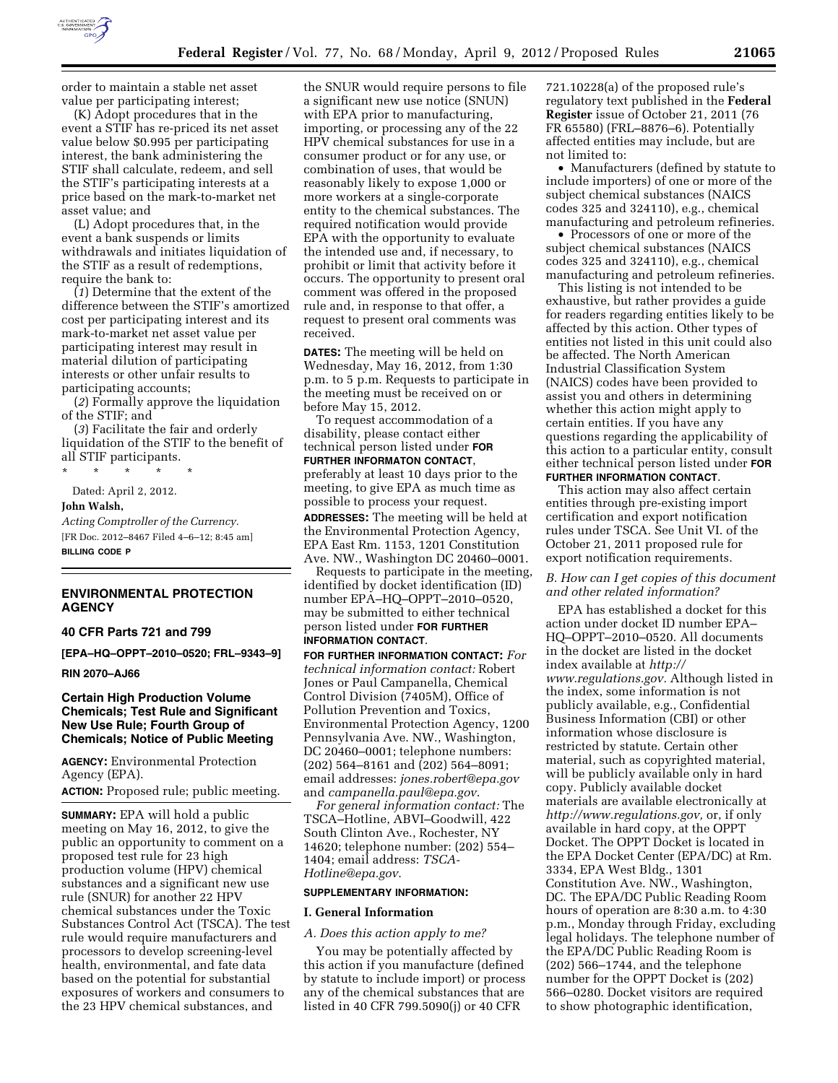

order to maintain a stable net asset value per participating interest;

(K) Adopt procedures that in the event a STIF has re-priced its net asset value below \$0.995 per participating interest, the bank administering the STIF shall calculate, redeem, and sell the STIF's participating interests at a price based on the mark-to-market net asset value; and

(L) Adopt procedures that, in the event a bank suspends or limits withdrawals and initiates liquidation of the STIF as a result of redemptions, require the bank to:

(*1*) Determine that the extent of the difference between the STIF's amortized cost per participating interest and its mark-to-market net asset value per participating interest may result in material dilution of participating interests or other unfair results to participating accounts;

(*2*) Formally approve the liquidation of the STIF; and

(*3*) Facilitate the fair and orderly liquidation of the STIF to the benefit of all STIF participants.

\* \* \* \* \*

Dated: April 2, 2012.

#### **John Walsh,**

*Acting Comptroller of the Currency.*  [FR Doc. 2012–8467 Filed 4–6–12; 8:45 am] **BILLING CODE P** 

# **ENVIRONMENTAL PROTECTION AGENCY**

# **40 CFR Parts 721 and 799**

**[EPA–HQ–OPPT–2010–0520; FRL–9343–9]** 

#### **RIN 2070–AJ66**

# **Certain High Production Volume Chemicals; Test Rule and Significant New Use Rule; Fourth Group of Chemicals; Notice of Public Meeting**

**AGENCY:** Environmental Protection Agency (EPA).

**ACTION:** Proposed rule; public meeting.

**SUMMARY:** EPA will hold a public meeting on May 16, 2012, to give the public an opportunity to comment on a proposed test rule for 23 high production volume (HPV) chemical substances and a significant new use rule (SNUR) for another 22 HPV chemical substances under the Toxic Substances Control Act (TSCA). The test rule would require manufacturers and processors to develop screening-level health, environmental, and fate data based on the potential for substantial exposures of workers and consumers to the 23 HPV chemical substances, and

the SNUR would require persons to file a significant new use notice (SNUN) with EPA prior to manufacturing, importing, or processing any of the 22 HPV chemical substances for use in a consumer product or for any use, or combination of uses, that would be reasonably likely to expose 1,000 or more workers at a single-corporate entity to the chemical substances. The required notification would provide EPA with the opportunity to evaluate the intended use and, if necessary, to prohibit or limit that activity before it occurs. The opportunity to present oral comment was offered in the proposed rule and, in response to that offer, a request to present oral comments was received.

**DATES:** The meeting will be held on Wednesday, May 16, 2012, from 1:30 p.m. to 5 p.m. Requests to participate in the meeting must be received on or before May 15, 2012.

To request accommodation of a disability, please contact either technical person listed under **FOR FURTHER INFORMATON CONTACT**, preferably at least 10 days prior to the meeting, to give EPA as much time as possible to process your request.

**ADDRESSES:** The meeting will be held at the Environmental Protection Agency, EPA East Rm. 1153, 1201 Constitution Ave. NW., Washington DC 20460–0001.

Requests to participate in the meeting, identified by docket identification (ID) number EPA–HQ–OPPT–2010–0520, may be submitted to either technical person listed under **FOR FURTHER INFORMATION CONTACT**.

**FOR FURTHER INFORMATION CONTACT:** *For technical information contact:* Robert Jones or Paul Campanella, Chemical Control Division (7405M), Office of Pollution Prevention and Toxics, Environmental Protection Agency, 1200 Pennsylvania Ave. NW., Washington, DC 20460–0001; telephone numbers: (202) 564–8161 and (202) 564–8091; email addresses: *[jones.robert@epa.gov](mailto:jones.robert@epa.gov)*  and *[campanella.paul@epa.gov](mailto:campanella.paul@epa.gov)*.

*For general information contact:* The TSCA–Hotline, ABVI–Goodwill, 422 South Clinton Ave., Rochester, NY 14620; telephone number: (202) 554– 1404; email address: *[TSCA-](mailto:TSCA-Hotline@epa.gov)[Hotline@epa.gov](mailto:TSCA-Hotline@epa.gov)*.

#### **SUPPLEMENTARY INFORMATION:**

#### **I. General Information**

*A. Does this action apply to me?* 

You may be potentially affected by this action if you manufacture (defined by statute to include import) or process any of the chemical substances that are listed in 40 CFR 799.5090(j) or 40 CFR

721.10228(a) of the proposed rule's regulatory text published in the **Federal Register** issue of October 21, 2011 (76 FR 65580) (FRL–8876–6). Potentially affected entities may include, but are not limited to:

• Manufacturers (defined by statute to include importers) of one or more of the subject chemical substances (NAICS codes 325 and 324110), e.g., chemical manufacturing and petroleum refineries.

• Processors of one or more of the subject chemical substances (NAICS codes 325 and 324110), e.g., chemical manufacturing and petroleum refineries.

This listing is not intended to be exhaustive, but rather provides a guide for readers regarding entities likely to be affected by this action. Other types of entities not listed in this unit could also be affected. The North American Industrial Classification System (NAICS) codes have been provided to assist you and others in determining whether this action might apply to certain entities. If you have any questions regarding the applicability of this action to a particular entity, consult either technical person listed under **FOR FURTHER INFORMATION CONTACT**.

This action may also affect certain entities through pre-existing import certification and export notification rules under TSCA. See Unit VI. of the October 21, 2011 proposed rule for export notification requirements.

## *B. How can I get copies of this document and other related information?*

EPA has established a docket for this action under docket ID number EPA– HQ–OPPT–2010–0520. All documents in the docket are listed in the docket index available at *[http://](http://www.regulations.gov)  [www.regulations.gov.](http://www.regulations.gov)* Although listed in the index, some information is not publicly available, e.g., Confidential Business Information (CBI) or other information whose disclosure is restricted by statute. Certain other material, such as copyrighted material, will be publicly available only in hard copy. Publicly available docket materials are available electronically at *[http://www.regulations.gov,](http://www.regulations.gov)* or, if only available in hard copy, at the OPPT Docket. The OPPT Docket is located in the EPA Docket Center (EPA/DC) at Rm. 3334, EPA West Bldg., 1301 Constitution Ave. NW., Washington, DC. The EPA/DC Public Reading Room hours of operation are 8:30 a.m. to 4:30 p.m., Monday through Friday, excluding legal holidays. The telephone number of the EPA/DC Public Reading Room is (202) 566–1744, and the telephone number for the OPPT Docket is (202) 566–0280. Docket visitors are required to show photographic identification,